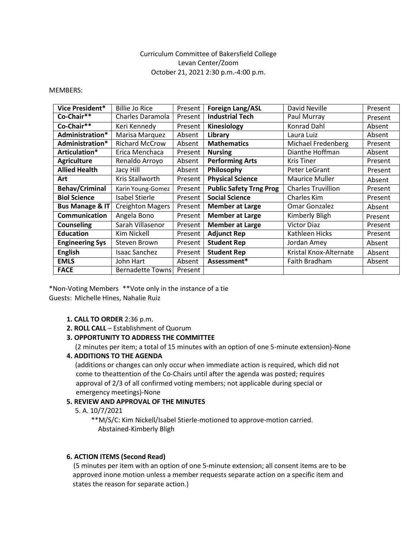# Curriculum Committee of Bakersfield College Levan Center/Zoom October 21, 2021 2:30 p.m.-4:00 p.m.

#### MEMBERS:

| Vice President*            | <b>Billie Jo Rice</b>   | Present | <b>Foreign Lang/ASL</b>        | David Neville             | Present |
|----------------------------|-------------------------|---------|--------------------------------|---------------------------|---------|
| Co-Chair**                 | Charles Daramola        | Present | <b>Industrial Tech</b>         | Paul Murray               | Present |
| Co-Chair**                 | Keri Kennedy            | Present | Kinesiology                    | Konrad Dahl               | Absent  |
| Administration*            | Marisa Marquez          | Absent  | Library                        | Laura Luiz                | Absent  |
| Administration*            | <b>Richard McCrow</b>   | Absent  | <b>Mathematics</b>             | Michael Fredenberg        | Present |
| Articulation*              | Erica Menchaca          | Present | <b>Nursing</b>                 | Dianthe Hoffman           | Absent  |
| <b>Agriculture</b>         | Renaldo Arroyo          | Absent  | <b>Performing Arts</b>         | <b>Kris Tiner</b>         | Present |
| <b>Allied Health</b>       | Jacy Hill               | Absent  | Philosophy                     | Peter LeGrant             | Present |
| Art                        | Kris Stallworth         | Present | <b>Physical Science</b>        | Maurice Muller            | Absent  |
| <b>Behav/Criminal</b>      | Karin Young-Gomez       | Present | <b>Public Safety Trng Prog</b> | <b>Charles Truvillion</b> | Present |
| <b>Biol Science</b>        | <b>Isabel Stierle</b>   | Present | <b>Social Science</b>          | Charles Kim               | Present |
| <b>Bus Manage &amp; IT</b> | <b>Creighton Magers</b> | Present | <b>Member at Large</b>         | Omar Gonzalez             | Absent  |
| Communication              | Angela Bono             | Present | <b>Member at Large</b>         | Kimberly Bligh            | Present |
| <b>Counseling</b>          | Sarah Villasenor        | Present | <b>Member at Large</b>         | <b>Victor Diaz</b>        | Present |
| <b>Education</b>           | Kim Nickell             | Present | <b>Adjunct Rep</b>             | Kathleen Hicks            | Present |
| <b>Engineering Sys</b>     | Steven Brown            | Present | <b>Student Rep</b>             | Jordan Amey               | Absent  |
| <b>English</b>             | <b>Isaac Sanchez</b>    | Present | <b>Student Rep</b>             | Kristal Knox-Alternate    | Absent  |
| <b>EMLS</b>                | John Hart               | Absent  | Assessment*                    | Faith Bradham             | Absent  |
| <b>FACE</b>                | <b>Bernadette Towns</b> | Present |                                |                           |         |

\*Non-Voting Members \*\*Vote only in the instance of a tie Guests: Michelle Hines, Nahalie Ruiz

### **1. CALL TO ORDER** 2:36 p.m.

- **2. ROLL CALL**  Establishment of Quorum
- **3. OPPORTUNITY TO ADDRESS THE COMMITTEE**

(2 minutes per item; a total of 15 minutes with an option of one 5-minute extension)-None **4. ADDITIONS TO THE AGENDA**

(additions or changes can only occur when immediate action is required, which did not come to theattention of the Co-Chairs until after the agenda was posted; requires approval of 2/3 of all confirmed voting members; not applicable during special or emergency meetings)-None

### **5. REVIEW AND APPROVAL OF THE MINUTES**

5. A. 10/7/2021

\*\*M/S/C: Kim Nickell/Isabel Stierle-motioned to approve-motion carried. Abstained-Kimberly Bligh

### **6. ACTION ITEMS (Second Read)**

(5 minutes per item with an option of one 5-minute extension; all consent items are to be approved inone motion unless a member requests separate action on a specific item and states the reason for separate action.)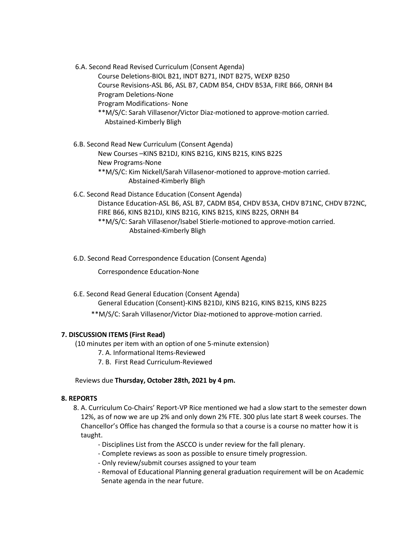6.A. Second Read Revised Curriculum (Consent Agenda)

Course Deletions-BIOL B21, INDT B271, INDT B275, WEXP B250 Course Revisions-ASL B6, ASL B7, CADM B54, CHDV B53A, FIRE B66, ORNH B4 Program Deletions-None

Program Modifications- None

\*\*M/S/C: Sarah Villasenor/Victor Diaz-motioned to approve-motion carried. Abstained-Kimberly Bligh

6.B. Second Read New Curriculum (Consent Agenda) New Courses –KINS B21DJ, KINS B21G, KINS B21S, KINS B22S New Programs-None \*\*M/S/C: Kim Nickell/Sarah Villasenor-motioned to approve-motion carried. Abstained-Kimberly Bligh

6.C. Second Read Distance Education (Consent Agenda) Distance Education-ASL B6, ASL B7, CADM B54, CHDV B53A, CHDV B71NC, CHDV B72NC, FIRE B66, KINS B21DJ, KINS B21G, KINS B21S, KINS B22S, ORNH B4 \*\*M/S/C: Sarah Villasenor/Isabel Stierle-motioned to approve-motion carried. Abstained-Kimberly Bligh

6.D. Second Read Correspondence Education (Consent Agenda)

Correspondence Education-None

6.E. Second Read General Education (Consent Agenda) General Education (Consent)-KINS B21DJ, KINS B21G, KINS B21S, KINS B22S \*\*M/S/C: Sarah Villasenor/Victor Diaz-motioned to approve-motion carried.

# **7. DISCUSSION ITEMS (First Read)**

(10 minutes per item with an option of one 5-minute extension)

- 7. A. Informational Items-Reviewed
- 7. B. First Read Curriculum-Reviewed

### Reviews due **Thursday, October 28th, 2021 by 4 pm.**

### **8. REPORTS**

- 8. A. Curriculum Co-Chairs' Report-VP Rice mentioned we had a slow start to the semester down 12%, as of now we are up 2% and only down 2% FTE. 300 plus late start 8 week courses. The Chancellor's Office has changed the formula so that a course is a course no matter how it is taught.
	- Disciplines List from the ASCCO is under review for the fall plenary.
	- Complete reviews as soon as possible to ensure timely progression.
	- Only review/submit courses assigned to your team
	- Removal of Educational Planning general graduation requirement will be on Academic Senate agenda in the near future.